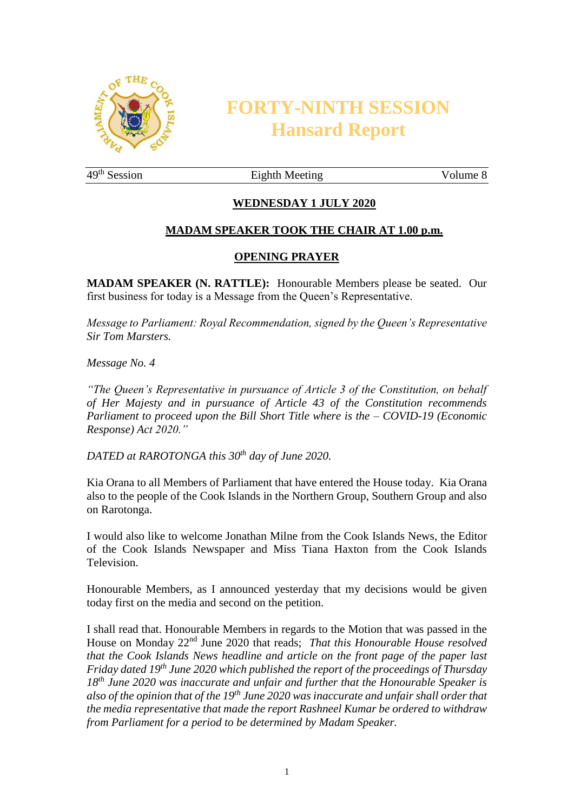

# **FORTY-NINTH SESSION Hansard Report**

49<sup>th</sup> Session Eighth Meeting Volume 8

# **WEDNESDAY 1 JULY 2020**

# **MADAM SPEAKER TOOK THE CHAIR AT 1.00 p.m.**

#### **OPENING PRAYER**

**MADAM SPEAKER (N. RATTLE):** Honourable Members please be seated. Our first business for today is a Message from the Queen's Representative.

*Message to Parliament: Royal Recommendation, signed by the Queen's Representative Sir Tom Marsters.* 

*Message No. 4*

*"The Queen's Representative in pursuance of Article 3 of the Constitution, on behalf of Her Majesty and in pursuance of Article 43 of the Constitution recommends Parliament to proceed upon the Bill Short Title where is the – COVID-19 (Economic Response) Act 2020."*

*DATED at RAROTONGA this 30th day of June 2020.*

Kia Orana to all Members of Parliament that have entered the House today. Kia Orana also to the people of the Cook Islands in the Northern Group, Southern Group and also on Rarotonga.

I would also like to welcome Jonathan Milne from the Cook Islands News, the Editor of the Cook Islands Newspaper and Miss Tiana Haxton from the Cook Islands Television.

Honourable Members, as I announced yesterday that my decisions would be given today first on the media and second on the petition.

I shall read that. Honourable Members in regards to the Motion that was passed in the House on Monday 22nd June 2020 that reads; *That this Honourable House resolved that the Cook Islands News headline and article on the front page of the paper last Friday dated 19th June 2020 which published the report of the proceedings of Thursday 18th June 2020 was inaccurate and unfair and further that the Honourable Speaker is also of the opinion that of the 19th June 2020 was inaccurate and unfair shall order that the media representative that made the report Rashneel Kumar be ordered to withdraw from Parliament for a period to be determined by Madam Speaker.*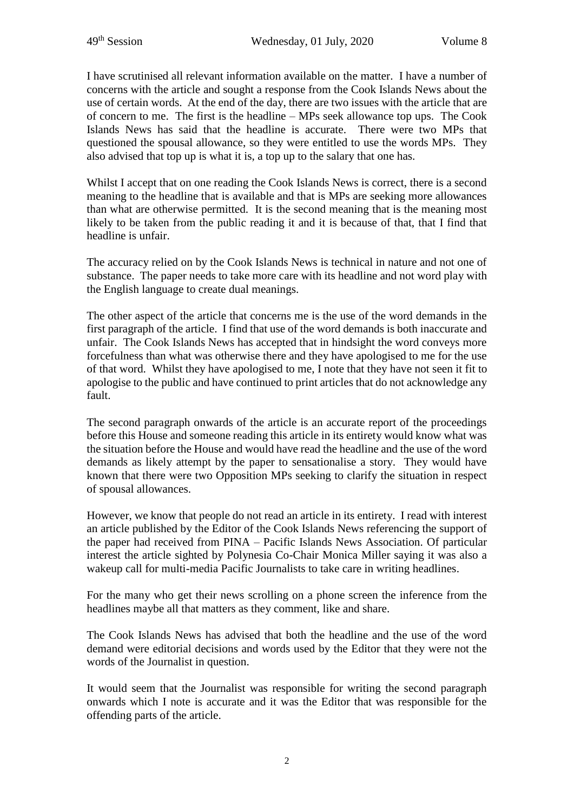I have scrutinised all relevant information available on the matter. I have a number of concerns with the article and sought a response from the Cook Islands News about the use of certain words. At the end of the day, there are two issues with the article that are of concern to me. The first is the headline – MPs seek allowance top ups. The Cook Islands News has said that the headline is accurate. There were two MPs that questioned the spousal allowance, so they were entitled to use the words MPs. They also advised that top up is what it is, a top up to the salary that one has.

Whilst I accept that on one reading the Cook Islands News is correct, there is a second meaning to the headline that is available and that is MPs are seeking more allowances than what are otherwise permitted. It is the second meaning that is the meaning most likely to be taken from the public reading it and it is because of that, that I find that headline is unfair.

The accuracy relied on by the Cook Islands News is technical in nature and not one of substance. The paper needs to take more care with its headline and not word play with the English language to create dual meanings.

The other aspect of the article that concerns me is the use of the word demands in the first paragraph of the article. I find that use of the word demands is both inaccurate and unfair. The Cook Islands News has accepted that in hindsight the word conveys more forcefulness than what was otherwise there and they have apologised to me for the use of that word. Whilst they have apologised to me, I note that they have not seen it fit to apologise to the public and have continued to print articles that do not acknowledge any fault.

The second paragraph onwards of the article is an accurate report of the proceedings before this House and someone reading this article in its entirety would know what was the situation before the House and would have read the headline and the use of the word demands as likely attempt by the paper to sensationalise a story. They would have known that there were two Opposition MPs seeking to clarify the situation in respect of spousal allowances.

However, we know that people do not read an article in its entirety. I read with interest an article published by the Editor of the Cook Islands News referencing the support of the paper had received from PINA – Pacific Islands News Association. Of particular interest the article sighted by Polynesia Co-Chair Monica Miller saying it was also a wakeup call for multi-media Pacific Journalists to take care in writing headlines.

For the many who get their news scrolling on a phone screen the inference from the headlines maybe all that matters as they comment, like and share.

The Cook Islands News has advised that both the headline and the use of the word demand were editorial decisions and words used by the Editor that they were not the words of the Journalist in question.

It would seem that the Journalist was responsible for writing the second paragraph onwards which I note is accurate and it was the Editor that was responsible for the offending parts of the article.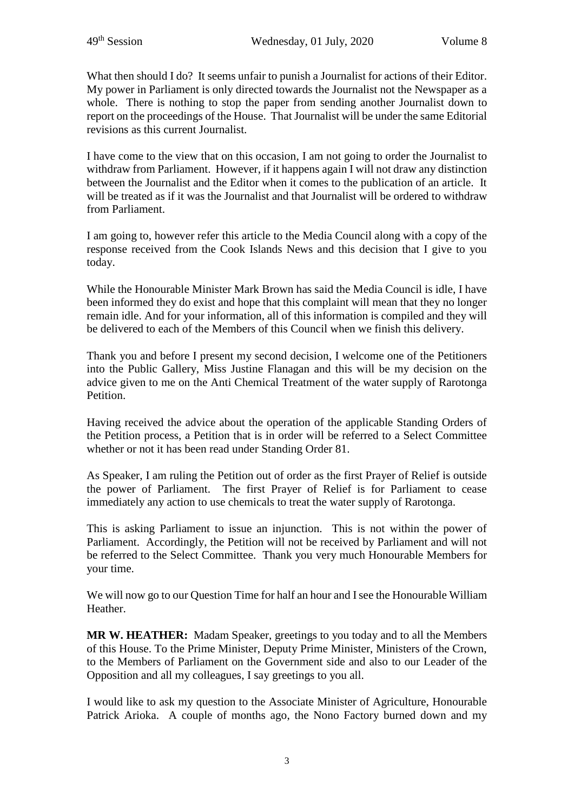What then should I do? It seems unfair to punish a Journalist for actions of their Editor. My power in Parliament is only directed towards the Journalist not the Newspaper as a whole. There is nothing to stop the paper from sending another Journalist down to report on the proceedings of the House. That Journalist will be under the same Editorial revisions as this current Journalist.

I have come to the view that on this occasion, I am not going to order the Journalist to withdraw from Parliament. However, if it happens again I will not draw any distinction between the Journalist and the Editor when it comes to the publication of an article. It will be treated as if it was the Journalist and that Journalist will be ordered to withdraw from Parliament.

I am going to, however refer this article to the Media Council along with a copy of the response received from the Cook Islands News and this decision that I give to you today.

While the Honourable Minister Mark Brown has said the Media Council is idle, I have been informed they do exist and hope that this complaint will mean that they no longer remain idle. And for your information, all of this information is compiled and they will be delivered to each of the Members of this Council when we finish this delivery.

Thank you and before I present my second decision, I welcome one of the Petitioners into the Public Gallery, Miss Justine Flanagan and this will be my decision on the advice given to me on the Anti Chemical Treatment of the water supply of Rarotonga Petition.

Having received the advice about the operation of the applicable Standing Orders of the Petition process, a Petition that is in order will be referred to a Select Committee whether or not it has been read under Standing Order 81.

As Speaker, I am ruling the Petition out of order as the first Prayer of Relief is outside the power of Parliament. The first Prayer of Relief is for Parliament to cease immediately any action to use chemicals to treat the water supply of Rarotonga.

This is asking Parliament to issue an injunction. This is not within the power of Parliament. Accordingly, the Petition will not be received by Parliament and will not be referred to the Select Committee. Thank you very much Honourable Members for your time.

We will now go to our Question Time for half an hour and I see the Honourable William Heather.

**MR W. HEATHER:** Madam Speaker, greetings to you today and to all the Members of this House. To the Prime Minister, Deputy Prime Minister, Ministers of the Crown, to the Members of Parliament on the Government side and also to our Leader of the Opposition and all my colleagues, I say greetings to you all.

I would like to ask my question to the Associate Minister of Agriculture, Honourable Patrick Arioka. A couple of months ago, the Nono Factory burned down and my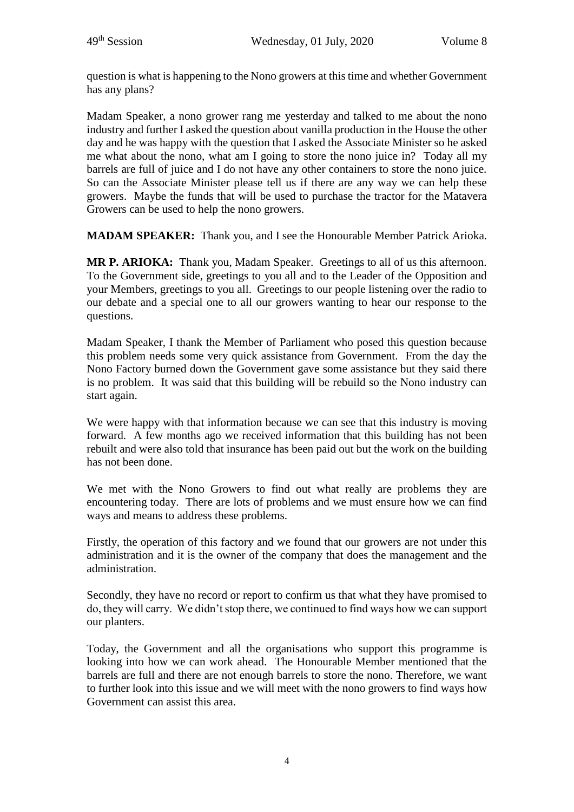question is what is happening to the Nono growers at this time and whether Government has any plans?

Madam Speaker, a nono grower rang me yesterday and talked to me about the nono industry and further I asked the question about vanilla production in the House the other day and he was happy with the question that I asked the Associate Minister so he asked me what about the nono, what am I going to store the nono juice in? Today all my barrels are full of juice and I do not have any other containers to store the nono juice. So can the Associate Minister please tell us if there are any way we can help these growers. Maybe the funds that will be used to purchase the tractor for the Matavera Growers can be used to help the nono growers.

**MADAM SPEAKER:** Thank you, and I see the Honourable Member Patrick Arioka.

**MR P. ARIOKA:** Thank you, Madam Speaker. Greetings to all of us this afternoon. To the Government side, greetings to you all and to the Leader of the Opposition and your Members, greetings to you all. Greetings to our people listening over the radio to our debate and a special one to all our growers wanting to hear our response to the questions.

Madam Speaker, I thank the Member of Parliament who posed this question because this problem needs some very quick assistance from Government. From the day the Nono Factory burned down the Government gave some assistance but they said there is no problem. It was said that this building will be rebuild so the Nono industry can start again.

We were happy with that information because we can see that this industry is moving forward. A few months ago we received information that this building has not been rebuilt and were also told that insurance has been paid out but the work on the building has not been done.

We met with the Nono Growers to find out what really are problems they are encountering today. There are lots of problems and we must ensure how we can find ways and means to address these problems.

Firstly, the operation of this factory and we found that our growers are not under this administration and it is the owner of the company that does the management and the administration.

Secondly, they have no record or report to confirm us that what they have promised to do, they will carry. We didn't stop there, we continued to find ways how we can support our planters.

Today, the Government and all the organisations who support this programme is looking into how we can work ahead. The Honourable Member mentioned that the barrels are full and there are not enough barrels to store the nono. Therefore, we want to further look into this issue and we will meet with the nono growers to find ways how Government can assist this area.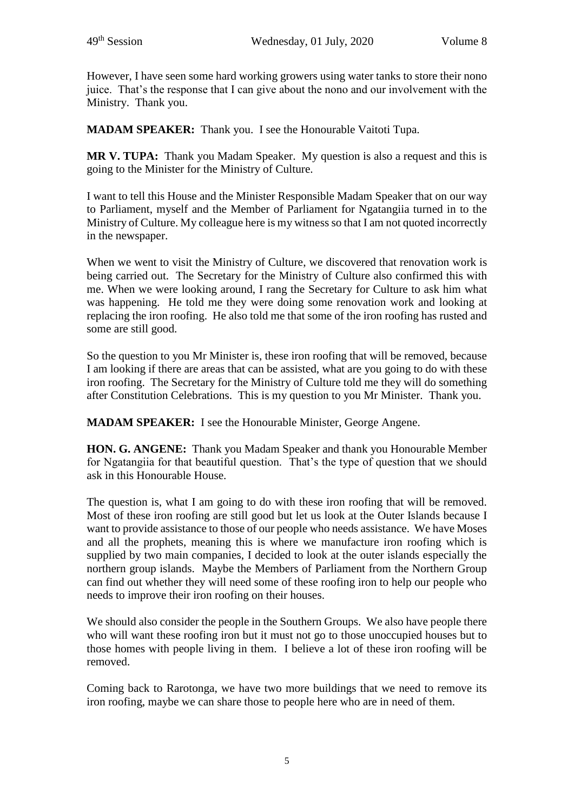However, I have seen some hard working growers using water tanks to store their nono juice. That's the response that I can give about the nono and our involvement with the Ministry. Thank you.

**MADAM SPEAKER:** Thank you. I see the Honourable Vaitoti Tupa.

**MR V. TUPA:** Thank you Madam Speaker. My question is also a request and this is going to the Minister for the Ministry of Culture.

I want to tell this House and the Minister Responsible Madam Speaker that on our way to Parliament, myself and the Member of Parliament for Ngatangiia turned in to the Ministry of Culture. My colleague here is my witness so that I am not quoted incorrectly in the newspaper.

When we went to visit the Ministry of Culture, we discovered that renovation work is being carried out. The Secretary for the Ministry of Culture also confirmed this with me. When we were looking around, I rang the Secretary for Culture to ask him what was happening. He told me they were doing some renovation work and looking at replacing the iron roofing. He also told me that some of the iron roofing has rusted and some are still good.

So the question to you Mr Minister is, these iron roofing that will be removed, because I am looking if there are areas that can be assisted, what are you going to do with these iron roofing. The Secretary for the Ministry of Culture told me they will do something after Constitution Celebrations. This is my question to you Mr Minister. Thank you.

**MADAM SPEAKER:** I see the Honourable Minister, George Angene.

**HON. G. ANGENE:** Thank you Madam Speaker and thank you Honourable Member for Ngatangiia for that beautiful question. That's the type of question that we should ask in this Honourable House.

The question is, what I am going to do with these iron roofing that will be removed. Most of these iron roofing are still good but let us look at the Outer Islands because I want to provide assistance to those of our people who needs assistance. We have Moses and all the prophets, meaning this is where we manufacture iron roofing which is supplied by two main companies, I decided to look at the outer islands especially the northern group islands. Maybe the Members of Parliament from the Northern Group can find out whether they will need some of these roofing iron to help our people who needs to improve their iron roofing on their houses.

We should also consider the people in the Southern Groups. We also have people there who will want these roofing iron but it must not go to those unoccupied houses but to those homes with people living in them. I believe a lot of these iron roofing will be removed.

Coming back to Rarotonga, we have two more buildings that we need to remove its iron roofing, maybe we can share those to people here who are in need of them.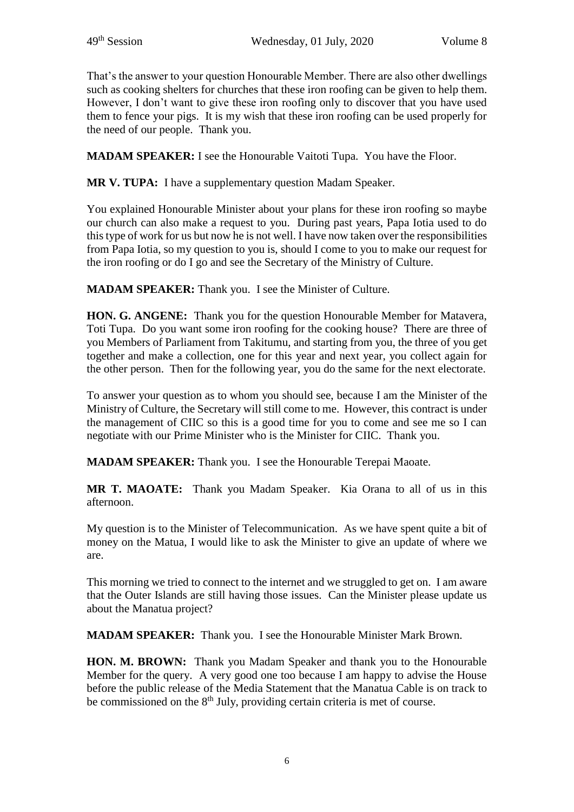That's the answer to your question Honourable Member. There are also other dwellings such as cooking shelters for churches that these iron roofing can be given to help them. However, I don't want to give these iron roofing only to discover that you have used them to fence your pigs. It is my wish that these iron roofing can be used properly for the need of our people. Thank you.

**MADAM SPEAKER:** I see the Honourable Vaitoti Tupa. You have the Floor.

**MR V. TUPA:** I have a supplementary question Madam Speaker.

You explained Honourable Minister about your plans for these iron roofing so maybe our church can also make a request to you. During past years, Papa Iotia used to do this type of work for us but now he is not well. I have now taken over the responsibilities from Papa Iotia, so my question to you is, should I come to you to make our request for the iron roofing or do I go and see the Secretary of the Ministry of Culture.

**MADAM SPEAKER:** Thank you. I see the Minister of Culture.

**HON. G. ANGENE:** Thank you for the question Honourable Member for Matavera, Toti Tupa. Do you want some iron roofing for the cooking house? There are three of you Members of Parliament from Takitumu, and starting from you, the three of you get together and make a collection, one for this year and next year, you collect again for the other person. Then for the following year, you do the same for the next electorate.

To answer your question as to whom you should see, because I am the Minister of the Ministry of Culture, the Secretary will still come to me. However, this contract is under the management of CIIC so this is a good time for you to come and see me so I can negotiate with our Prime Minister who is the Minister for CIIC. Thank you.

**MADAM SPEAKER:** Thank you. I see the Honourable Terepai Maoate.

**MR T. MAOATE:** Thank you Madam Speaker. Kia Orana to all of us in this afternoon.

My question is to the Minister of Telecommunication. As we have spent quite a bit of money on the Matua, I would like to ask the Minister to give an update of where we are.

This morning we tried to connect to the internet and we struggled to get on. I am aware that the Outer Islands are still having those issues. Can the Minister please update us about the Manatua project?

**MADAM SPEAKER:** Thank you. I see the Honourable Minister Mark Brown.

**HON. M. BROWN:** Thank you Madam Speaker and thank you to the Honourable Member for the query. A very good one too because I am happy to advise the House before the public release of the Media Statement that the Manatua Cable is on track to be commissioned on the 8<sup>th</sup> July, providing certain criteria is met of course.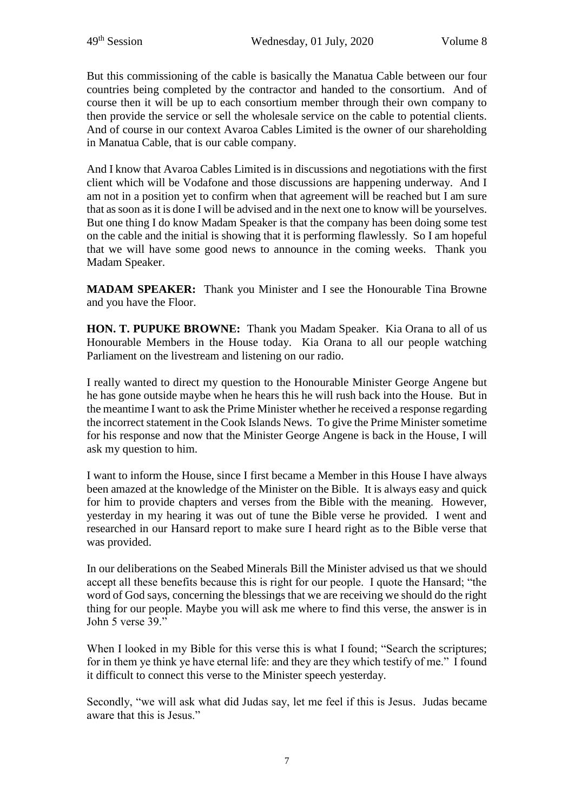But this commissioning of the cable is basically the Manatua Cable between our four countries being completed by the contractor and handed to the consortium. And of course then it will be up to each consortium member through their own company to then provide the service or sell the wholesale service on the cable to potential clients. And of course in our context Avaroa Cables Limited is the owner of our shareholding in Manatua Cable, that is our cable company.

And I know that Avaroa Cables Limited is in discussions and negotiations with the first client which will be Vodafone and those discussions are happening underway. And I am not in a position yet to confirm when that agreement will be reached but I am sure that as soon as it is done I will be advised and in the next one to know will be yourselves. But one thing I do know Madam Speaker is that the company has been doing some test on the cable and the initial is showing that it is performing flawlessly. So I am hopeful that we will have some good news to announce in the coming weeks. Thank you Madam Speaker.

**MADAM SPEAKER:** Thank you Minister and I see the Honourable Tina Browne and you have the Floor.

**HON. T. PUPUKE BROWNE:** Thank you Madam Speaker. Kia Orana to all of us Honourable Members in the House today. Kia Orana to all our people watching Parliament on the livestream and listening on our radio.

I really wanted to direct my question to the Honourable Minister George Angene but he has gone outside maybe when he hears this he will rush back into the House. But in the meantime I want to ask the Prime Minister whether he received a response regarding the incorrect statement in the Cook Islands News. To give the Prime Minister sometime for his response and now that the Minister George Angene is back in the House, I will ask my question to him.

I want to inform the House, since I first became a Member in this House I have always been amazed at the knowledge of the Minister on the Bible. It is always easy and quick for him to provide chapters and verses from the Bible with the meaning. However, yesterday in my hearing it was out of tune the Bible verse he provided. I went and researched in our Hansard report to make sure I heard right as to the Bible verse that was provided.

In our deliberations on the Seabed Minerals Bill the Minister advised us that we should accept all these benefits because this is right for our people. I quote the Hansard; "the word of God says, concerning the blessings that we are receiving we should do the right thing for our people. Maybe you will ask me where to find this verse, the answer is in John 5 verse 39."

When I looked in my Bible for this verse this is what I found; "Search the scriptures; for in them ye think ye have eternal life: and they are they which testify of me." I found it difficult to connect this verse to the Minister speech yesterday.

Secondly, "we will ask what did Judas say, let me feel if this is Jesus. Judas became aware that this is Jesus."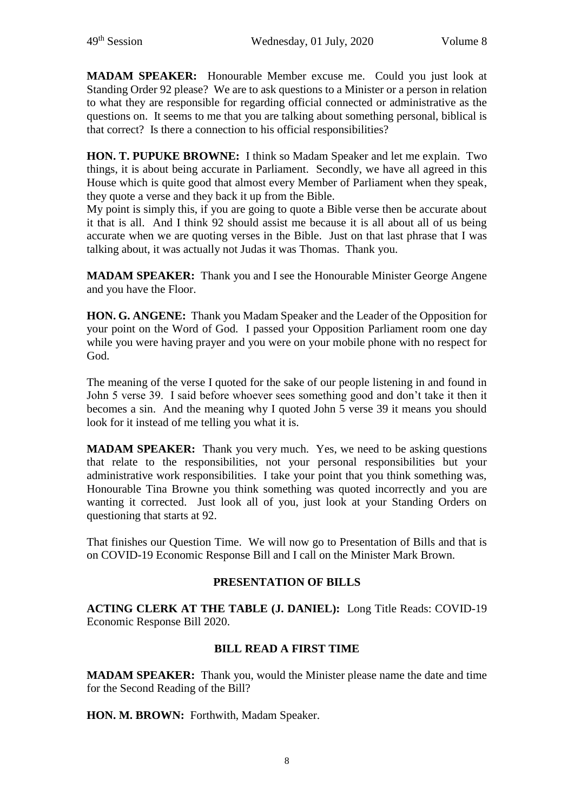**MADAM SPEAKER:** Honourable Member excuse me. Could you just look at Standing Order 92 please? We are to ask questions to a Minister or a person in relation to what they are responsible for regarding official connected or administrative as the questions on. It seems to me that you are talking about something personal, biblical is that correct? Is there a connection to his official responsibilities?

**HON. T. PUPUKE BROWNE:** I think so Madam Speaker and let me explain. Two things, it is about being accurate in Parliament. Secondly, we have all agreed in this House which is quite good that almost every Member of Parliament when they speak, they quote a verse and they back it up from the Bible.

My point is simply this, if you are going to quote a Bible verse then be accurate about it that is all. And I think 92 should assist me because it is all about all of us being accurate when we are quoting verses in the Bible. Just on that last phrase that I was talking about, it was actually not Judas it was Thomas. Thank you.

**MADAM SPEAKER:** Thank you and I see the Honourable Minister George Angene and you have the Floor.

**HON. G. ANGENE:** Thank you Madam Speaker and the Leader of the Opposition for your point on the Word of God. I passed your Opposition Parliament room one day while you were having prayer and you were on your mobile phone with no respect for God.

The meaning of the verse I quoted for the sake of our people listening in and found in John 5 verse 39. I said before whoever sees something good and don't take it then it becomes a sin. And the meaning why I quoted John 5 verse 39 it means you should look for it instead of me telling you what it is.

**MADAM SPEAKER:** Thank you very much. Yes, we need to be asking questions that relate to the responsibilities, not your personal responsibilities but your administrative work responsibilities. I take your point that you think something was, Honourable Tina Browne you think something was quoted incorrectly and you are wanting it corrected. Just look all of you, just look at your Standing Orders on questioning that starts at 92.

That finishes our Question Time. We will now go to Presentation of Bills and that is on COVID-19 Economic Response Bill and I call on the Minister Mark Brown.

## **PRESENTATION OF BILLS**

**ACTING CLERK AT THE TABLE (J. DANIEL):** Long Title Reads: COVID-19 Economic Response Bill 2020.

## **BILL READ A FIRST TIME**

**MADAM SPEAKER:** Thank you, would the Minister please name the date and time for the Second Reading of the Bill?

**HON. M. BROWN:** Forthwith, Madam Speaker.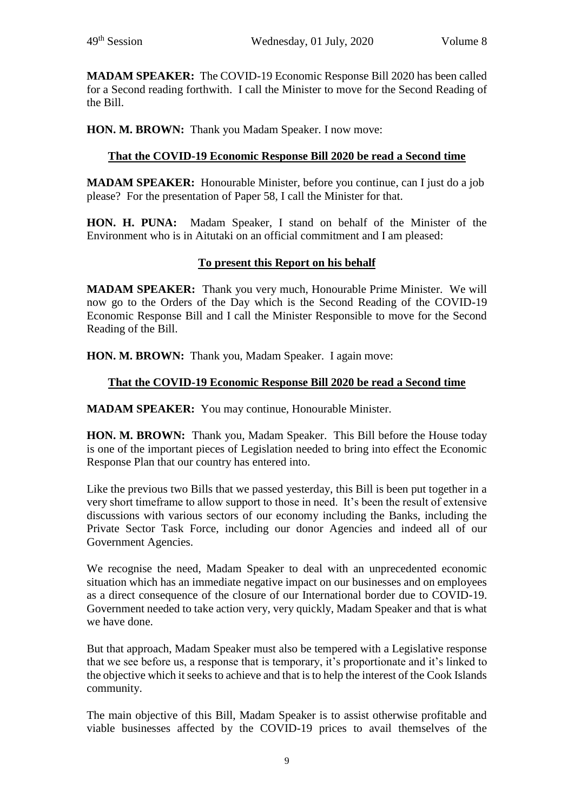**MADAM SPEAKER:** The COVID-19 Economic Response Bill 2020 has been called for a Second reading forthwith. I call the Minister to move for the Second Reading of the Bill.

**HON. M. BROWN:** Thank you Madam Speaker. I now move:

# **That the COVID-19 Economic Response Bill 2020 be read a Second time**

**MADAM SPEAKER:** Honourable Minister, before you continue, can I just do a job please? For the presentation of Paper 58, I call the Minister for that.

**HON. H. PUNA:** Madam Speaker, I stand on behalf of the Minister of the Environment who is in Aitutaki on an official commitment and I am pleased:

## **To present this Report on his behalf**

**MADAM SPEAKER:** Thank you very much, Honourable Prime Minister. We will now go to the Orders of the Day which is the Second Reading of the COVID-19 Economic Response Bill and I call the Minister Responsible to move for the Second Reading of the Bill.

**HON. M. BROWN:** Thank you, Madam Speaker. I again move:

#### **That the COVID-19 Economic Response Bill 2020 be read a Second time**

**MADAM SPEAKER:** You may continue, Honourable Minister.

**HON. M. BROWN:** Thank you, Madam Speaker. This Bill before the House today is one of the important pieces of Legislation needed to bring into effect the Economic Response Plan that our country has entered into.

Like the previous two Bills that we passed yesterday, this Bill is been put together in a very short timeframe to allow support to those in need. It's been the result of extensive discussions with various sectors of our economy including the Banks, including the Private Sector Task Force, including our donor Agencies and indeed all of our Government Agencies.

We recognise the need, Madam Speaker to deal with an unprecedented economic situation which has an immediate negative impact on our businesses and on employees as a direct consequence of the closure of our International border due to COVID-19. Government needed to take action very, very quickly, Madam Speaker and that is what we have done.

But that approach, Madam Speaker must also be tempered with a Legislative response that we see before us, a response that is temporary, it's proportionate and it's linked to the objective which it seeks to achieve and that is to help the interest of the Cook Islands community.

The main objective of this Bill, Madam Speaker is to assist otherwise profitable and viable businesses affected by the COVID-19 prices to avail themselves of the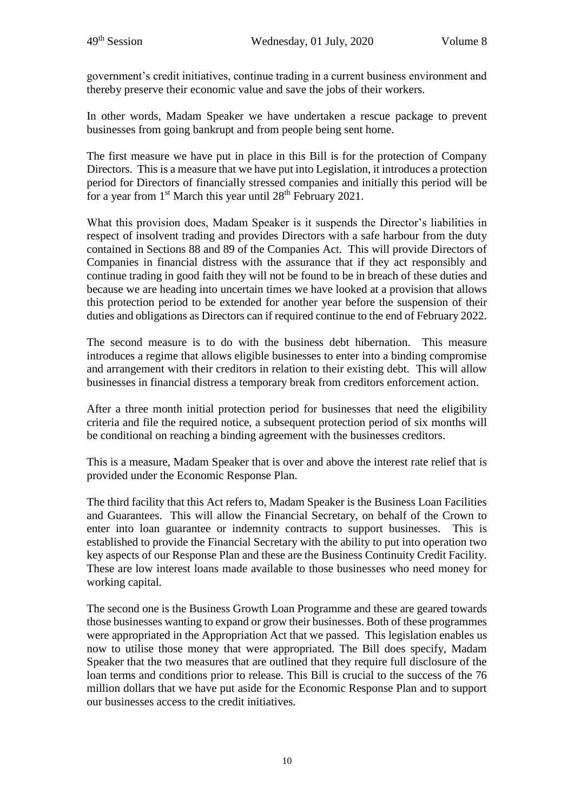government's credit initiatives, continue trading in a current business environment and thereby preserve their economic value and save the jobs of their workers.

In other words, Madam Speaker we have undertaken a rescue package to prevent businesses from going bankrupt and from people being sent home.

The first measure we have put in place in this Bill is for the protection of Company Directors. This is a measure that we have put into Legislation, it introduces a protection period for Directors of financially stressed companies and initially this period will be for a year from  $1<sup>st</sup>$  March this year until  $28<sup>th</sup>$  February 2021.

What this provision does, Madam Speaker is it suspends the Director's liabilities in respect of insolvent trading and provides Directors with a safe harbour from the duty contained in Sections 88 and 89 of the Companies Act. This will provide Directors of Companies in financial distress with the assurance that if they act responsibly and continue trading in good faith they will not be found to be in breach of these duties and because we are heading into uncertain times we have looked at a provision that allows this protection period to be extended for another year before the suspension of their duties and obligations as Directors can if required continue to the end of February 2022.

The second measure is to do with the business debt hibernation. This measure introduces a regime that allows eligible businesses to enter into a binding compromise and arrangement with their creditors in relation to their existing debt. This will allow businesses in financial distress a temporary break from creditors enforcement action.

After a three month initial protection period for businesses that need the eligibility criteria and file the required notice, a subsequent protection period of six months will be conditional on reaching a binding agreement with the businesses creditors.

This is a measure, Madam Speaker that is over and above the interest rate relief that is provided under the Economic Response Plan.

The third facility that this Act refers to, Madam Speaker is the Business Loan Facilities and Guarantees. This will allow the Financial Secretary, on behalf of the Crown to enter into loan guarantee or indemnity contracts to support businesses. This is established to provide the Financial Secretary with the ability to put into operation two key aspects of our Response Plan and these are the Business Continuity Credit Facility. These are low interest loans made available to those businesses who need money for working capital.

The second one is the Business Growth Loan Programme and these are geared towards those businesses wanting to expand or grow their businesses. Both of these programmes were appropriated in the Appropriation Act that we passed. This legislation enables us now to utilise those money that were appropriated. The Bill does specify, Madam Speaker that the two measures that are outlined that they require full disclosure of the loan terms and conditions prior to release. This Bill is crucial to the success of the 76 million dollars that we have put aside for the Economic Response Plan and to support our businesses access to the credit initiatives.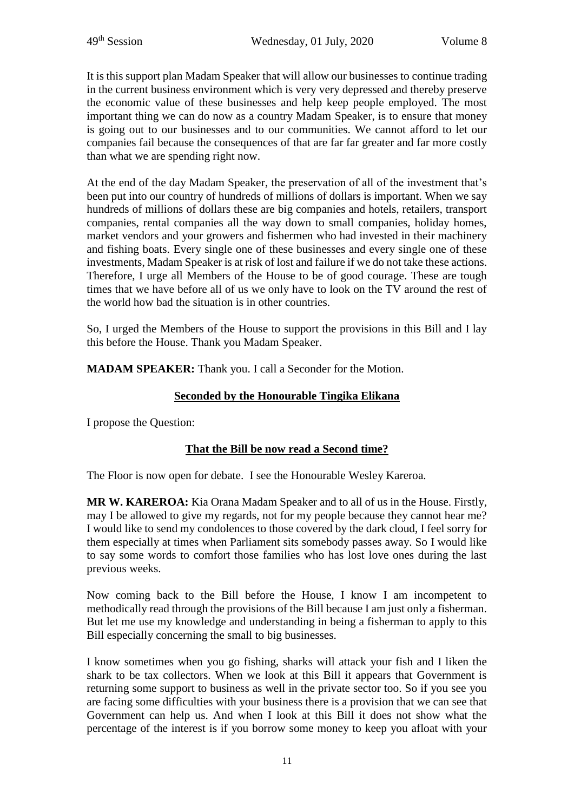It is this support plan Madam Speaker that will allow our businesses to continue trading in the current business environment which is very very depressed and thereby preserve the economic value of these businesses and help keep people employed. The most important thing we can do now as a country Madam Speaker, is to ensure that money is going out to our businesses and to our communities. We cannot afford to let our companies fail because the consequences of that are far far greater and far more costly than what we are spending right now.

At the end of the day Madam Speaker, the preservation of all of the investment that's been put into our country of hundreds of millions of dollars is important. When we say hundreds of millions of dollars these are big companies and hotels, retailers, transport companies, rental companies all the way down to small companies, holiday homes, market vendors and your growers and fishermen who had invested in their machinery and fishing boats. Every single one of these businesses and every single one of these investments, Madam Speaker is at risk of lost and failure if we do not take these actions. Therefore, I urge all Members of the House to be of good courage. These are tough times that we have before all of us we only have to look on the TV around the rest of the world how bad the situation is in other countries.

So, I urged the Members of the House to support the provisions in this Bill and I lay this before the House. Thank you Madam Speaker.

**MADAM SPEAKER:** Thank you. I call a Seconder for the Motion.

# **Seconded by the Honourable Tingika Elikana**

I propose the Question:

# **That the Bill be now read a Second time?**

The Floor is now open for debate. I see the Honourable Wesley Kareroa.

**MR W. KAREROA:** Kia Orana Madam Speaker and to all of us in the House. Firstly, may I be allowed to give my regards, not for my people because they cannot hear me? I would like to send my condolences to those covered by the dark cloud, I feel sorry for them especially at times when Parliament sits somebody passes away. So I would like to say some words to comfort those families who has lost love ones during the last previous weeks.

Now coming back to the Bill before the House, I know I am incompetent to methodically read through the provisions of the Bill because I am just only a fisherman. But let me use my knowledge and understanding in being a fisherman to apply to this Bill especially concerning the small to big businesses.

I know sometimes when you go fishing, sharks will attack your fish and I liken the shark to be tax collectors. When we look at this Bill it appears that Government is returning some support to business as well in the private sector too. So if you see you are facing some difficulties with your business there is a provision that we can see that Government can help us. And when I look at this Bill it does not show what the percentage of the interest is if you borrow some money to keep you afloat with your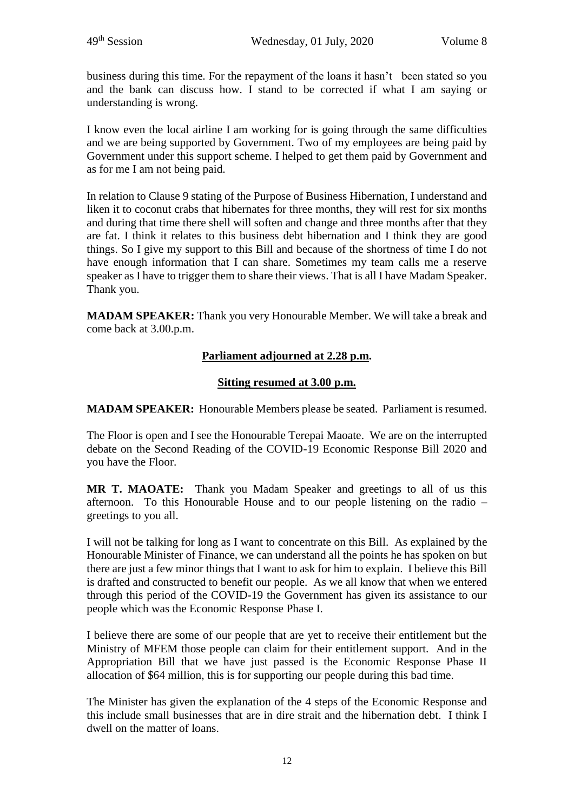business during this time. For the repayment of the loans it hasn't been stated so you and the bank can discuss how. I stand to be corrected if what I am saying or understanding is wrong.

I know even the local airline I am working for is going through the same difficulties and we are being supported by Government. Two of my employees are being paid by Government under this support scheme. I helped to get them paid by Government and as for me I am not being paid.

In relation to Clause 9 stating of the Purpose of Business Hibernation, I understand and liken it to coconut crabs that hibernates for three months, they will rest for six months and during that time there shell will soften and change and three months after that they are fat. I think it relates to this business debt hibernation and I think they are good things. So I give my support to this Bill and because of the shortness of time I do not have enough information that I can share. Sometimes my team calls me a reserve speaker as I have to trigger them to share their views. That is all I have Madam Speaker. Thank you.

**MADAM SPEAKER:** Thank you very Honourable Member. We will take a break and come back at 3.00.p.m.

# **Parliament adjourned at 2.28 p.m.**

## **Sitting resumed at 3.00 p.m.**

**MADAM SPEAKER:** Honourable Members please be seated. Parliament is resumed.

The Floor is open and I see the Honourable Terepai Maoate. We are on the interrupted debate on the Second Reading of the COVID-19 Economic Response Bill 2020 and you have the Floor.

**MR T. MAOATE:** Thank you Madam Speaker and greetings to all of us this afternoon. To this Honourable House and to our people listening on the radio – greetings to you all.

I will not be talking for long as I want to concentrate on this Bill. As explained by the Honourable Minister of Finance, we can understand all the points he has spoken on but there are just a few minor things that I want to ask for him to explain. I believe this Bill is drafted and constructed to benefit our people. As we all know that when we entered through this period of the COVID-19 the Government has given its assistance to our people which was the Economic Response Phase I.

I believe there are some of our people that are yet to receive their entitlement but the Ministry of MFEM those people can claim for their entitlement support. And in the Appropriation Bill that we have just passed is the Economic Response Phase II allocation of \$64 million, this is for supporting our people during this bad time.

The Minister has given the explanation of the 4 steps of the Economic Response and this include small businesses that are in dire strait and the hibernation debt. I think I dwell on the matter of loans.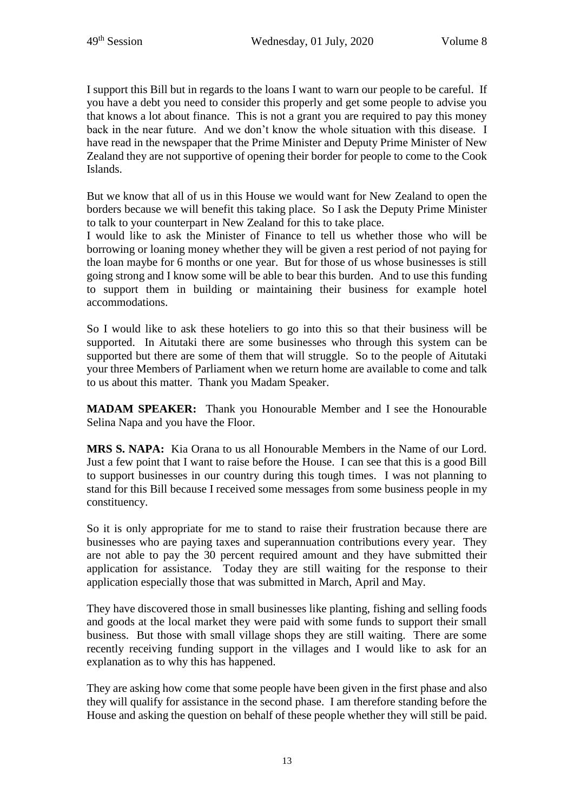I support this Bill but in regards to the loans I want to warn our people to be careful. If you have a debt you need to consider this properly and get some people to advise you that knows a lot about finance. This is not a grant you are required to pay this money back in the near future. And we don't know the whole situation with this disease. I have read in the newspaper that the Prime Minister and Deputy Prime Minister of New Zealand they are not supportive of opening their border for people to come to the Cook Islands.

But we know that all of us in this House we would want for New Zealand to open the borders because we will benefit this taking place. So I ask the Deputy Prime Minister to talk to your counterpart in New Zealand for this to take place.

I would like to ask the Minister of Finance to tell us whether those who will be borrowing or loaning money whether they will be given a rest period of not paying for the loan maybe for 6 months or one year. But for those of us whose businesses is still going strong and I know some will be able to bear this burden. And to use this funding to support them in building or maintaining their business for example hotel accommodations.

So I would like to ask these hoteliers to go into this so that their business will be supported. In Aitutaki there are some businesses who through this system can be supported but there are some of them that will struggle. So to the people of Aitutaki your three Members of Parliament when we return home are available to come and talk to us about this matter. Thank you Madam Speaker.

**MADAM SPEAKER:** Thank you Honourable Member and I see the Honourable Selina Napa and you have the Floor.

**MRS S. NAPA:** Kia Orana to us all Honourable Members in the Name of our Lord. Just a few point that I want to raise before the House. I can see that this is a good Bill to support businesses in our country during this tough times. I was not planning to stand for this Bill because I received some messages from some business people in my constituency.

So it is only appropriate for me to stand to raise their frustration because there are businesses who are paying taxes and superannuation contributions every year. They are not able to pay the 30 percent required amount and they have submitted their application for assistance. Today they are still waiting for the response to their application especially those that was submitted in March, April and May.

They have discovered those in small businesses like planting, fishing and selling foods and goods at the local market they were paid with some funds to support their small business. But those with small village shops they are still waiting. There are some recently receiving funding support in the villages and I would like to ask for an explanation as to why this has happened.

They are asking how come that some people have been given in the first phase and also they will qualify for assistance in the second phase. I am therefore standing before the House and asking the question on behalf of these people whether they will still be paid.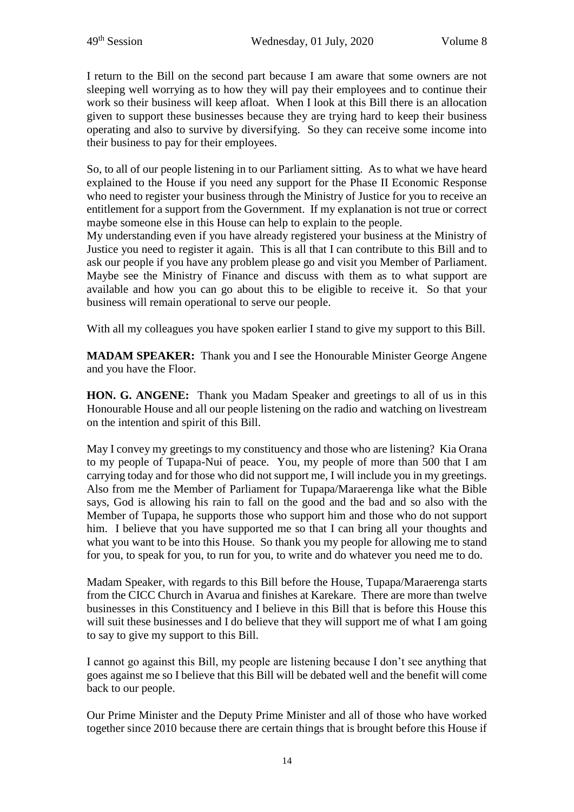I return to the Bill on the second part because I am aware that some owners are not sleeping well worrying as to how they will pay their employees and to continue their work so their business will keep afloat. When I look at this Bill there is an allocation given to support these businesses because they are trying hard to keep their business operating and also to survive by diversifying. So they can receive some income into their business to pay for their employees.

So, to all of our people listening in to our Parliament sitting. As to what we have heard explained to the House if you need any support for the Phase II Economic Response who need to register your business through the Ministry of Justice for you to receive an entitlement for a support from the Government. If my explanation is not true or correct maybe someone else in this House can help to explain to the people.

My understanding even if you have already registered your business at the Ministry of Justice you need to register it again. This is all that I can contribute to this Bill and to ask our people if you have any problem please go and visit you Member of Parliament. Maybe see the Ministry of Finance and discuss with them as to what support are available and how you can go about this to be eligible to receive it. So that your business will remain operational to serve our people.

With all my colleagues you have spoken earlier I stand to give my support to this Bill.

**MADAM SPEAKER:** Thank you and I see the Honourable Minister George Angene and you have the Floor.

**HON. G. ANGENE:** Thank you Madam Speaker and greetings to all of us in this Honourable House and all our people listening on the radio and watching on livestream on the intention and spirit of this Bill.

May I convey my greetings to my constituency and those who are listening? Kia Orana to my people of Tupapa-Nui of peace. You, my people of more than 500 that I am carrying today and for those who did not support me, I will include you in my greetings. Also from me the Member of Parliament for Tupapa/Maraerenga like what the Bible says, God is allowing his rain to fall on the good and the bad and so also with the Member of Tupapa, he supports those who support him and those who do not support him. I believe that you have supported me so that I can bring all your thoughts and what you want to be into this House. So thank you my people for allowing me to stand for you, to speak for you, to run for you, to write and do whatever you need me to do.

Madam Speaker, with regards to this Bill before the House, Tupapa/Maraerenga starts from the CICC Church in Avarua and finishes at Karekare. There are more than twelve businesses in this Constituency and I believe in this Bill that is before this House this will suit these businesses and I do believe that they will support me of what I am going to say to give my support to this Bill.

I cannot go against this Bill, my people are listening because I don't see anything that goes against me so I believe that this Bill will be debated well and the benefit will come back to our people.

Our Prime Minister and the Deputy Prime Minister and all of those who have worked together since 2010 because there are certain things that is brought before this House if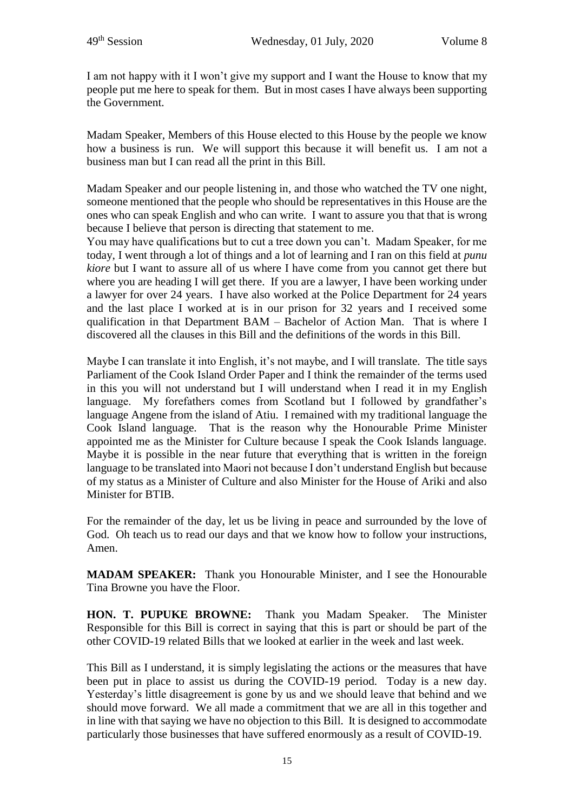I am not happy with it I won't give my support and I want the House to know that my people put me here to speak for them. But in most cases I have always been supporting the Government.

Madam Speaker, Members of this House elected to this House by the people we know how a business is run. We will support this because it will benefit us. I am not a business man but I can read all the print in this Bill.

Madam Speaker and our people listening in, and those who watched the TV one night, someone mentioned that the people who should be representatives in this House are the ones who can speak English and who can write. I want to assure you that that is wrong because I believe that person is directing that statement to me.

You may have qualifications but to cut a tree down you can't. Madam Speaker, for me today, I went through a lot of things and a lot of learning and I ran on this field at *punu kiore* but I want to assure all of us where I have come from you cannot get there but where you are heading I will get there. If you are a lawyer, I have been working under a lawyer for over 24 years. I have also worked at the Police Department for 24 years and the last place I worked at is in our prison for 32 years and I received some qualification in that Department BAM – Bachelor of Action Man. That is where I discovered all the clauses in this Bill and the definitions of the words in this Bill.

Maybe I can translate it into English, it's not maybe, and I will translate. The title says Parliament of the Cook Island Order Paper and I think the remainder of the terms used in this you will not understand but I will understand when I read it in my English language. My forefathers comes from Scotland but I followed by grandfather's language Angene from the island of Atiu. I remained with my traditional language the Cook Island language. That is the reason why the Honourable Prime Minister appointed me as the Minister for Culture because I speak the Cook Islands language. Maybe it is possible in the near future that everything that is written in the foreign language to be translated into Maori not because I don't understand English but because of my status as a Minister of Culture and also Minister for the House of Ariki and also Minister for BTIB.

For the remainder of the day, let us be living in peace and surrounded by the love of God. Oh teach us to read our days and that we know how to follow your instructions, Amen.

**MADAM SPEAKER:** Thank you Honourable Minister, and I see the Honourable Tina Browne you have the Floor.

**HON. T. PUPUKE BROWNE:** Thank you Madam Speaker. The Minister Responsible for this Bill is correct in saying that this is part or should be part of the other COVID-19 related Bills that we looked at earlier in the week and last week.

This Bill as I understand, it is simply legislating the actions or the measures that have been put in place to assist us during the COVID-19 period. Today is a new day. Yesterday's little disagreement is gone by us and we should leave that behind and we should move forward. We all made a commitment that we are all in this together and in line with that saying we have no objection to this Bill. It is designed to accommodate particularly those businesses that have suffered enormously as a result of COVID-19.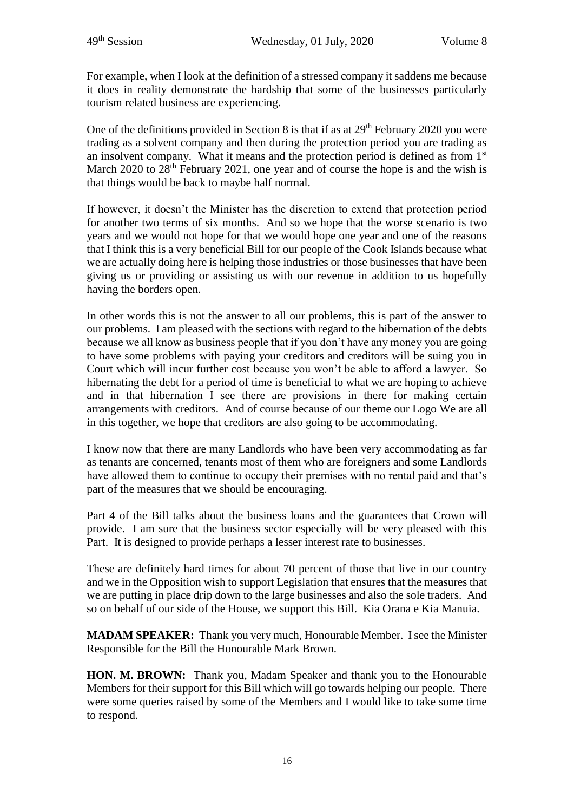For example, when I look at the definition of a stressed company it saddens me because it does in reality demonstrate the hardship that some of the businesses particularly tourism related business are experiencing.

One of the definitions provided in Section 8 is that if as at  $29<sup>th</sup>$  February 2020 you were trading as a solvent company and then during the protection period you are trading as an insolvent company. What it means and the protection period is defined as from 1st March 2020 to 28<sup>th</sup> February 2021, one year and of course the hope is and the wish is that things would be back to maybe half normal.

If however, it doesn't the Minister has the discretion to extend that protection period for another two terms of six months. And so we hope that the worse scenario is two years and we would not hope for that we would hope one year and one of the reasons that I think this is a very beneficial Bill for our people of the Cook Islands because what we are actually doing here is helping those industries or those businesses that have been giving us or providing or assisting us with our revenue in addition to us hopefully having the borders open.

In other words this is not the answer to all our problems, this is part of the answer to our problems. I am pleased with the sections with regard to the hibernation of the debts because we all know as business people that if you don't have any money you are going to have some problems with paying your creditors and creditors will be suing you in Court which will incur further cost because you won't be able to afford a lawyer. So hibernating the debt for a period of time is beneficial to what we are hoping to achieve and in that hibernation I see there are provisions in there for making certain arrangements with creditors. And of course because of our theme our Logo We are all in this together, we hope that creditors are also going to be accommodating.

I know now that there are many Landlords who have been very accommodating as far as tenants are concerned, tenants most of them who are foreigners and some Landlords have allowed them to continue to occupy their premises with no rental paid and that's part of the measures that we should be encouraging.

Part 4 of the Bill talks about the business loans and the guarantees that Crown will provide. I am sure that the business sector especially will be very pleased with this Part. It is designed to provide perhaps a lesser interest rate to businesses.

These are definitely hard times for about 70 percent of those that live in our country and we in the Opposition wish to support Legislation that ensures that the measures that we are putting in place drip down to the large businesses and also the sole traders. And so on behalf of our side of the House, we support this Bill. Kia Orana e Kia Manuia.

**MADAM SPEAKER:** Thank you very much, Honourable Member. I see the Minister Responsible for the Bill the Honourable Mark Brown.

**HON. M. BROWN:** Thank you, Madam Speaker and thank you to the Honourable Members for their support for this Bill which will go towards helping our people. There were some queries raised by some of the Members and I would like to take some time to respond.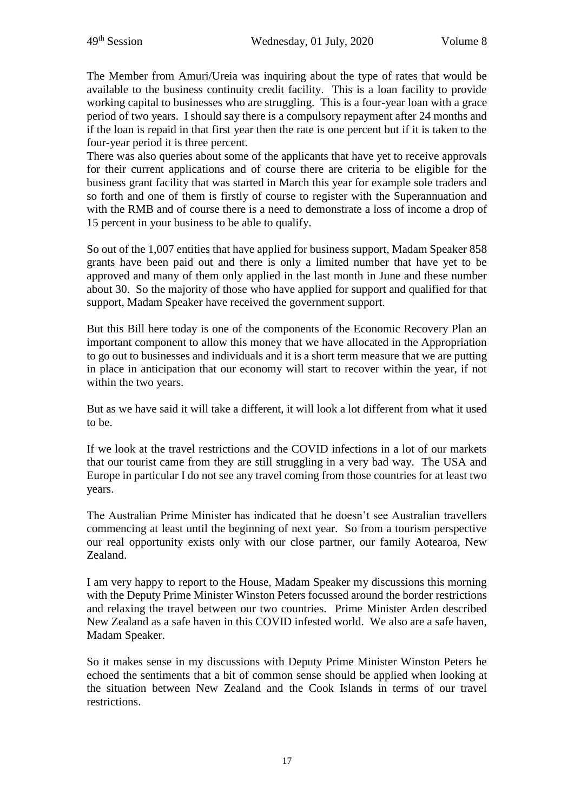The Member from Amuri/Ureia was inquiring about the type of rates that would be available to the business continuity credit facility. This is a loan facility to provide working capital to businesses who are struggling. This is a four-year loan with a grace period of two years. I should say there is a compulsory repayment after 24 months and if the loan is repaid in that first year then the rate is one percent but if it is taken to the four-year period it is three percent.

There was also queries about some of the applicants that have yet to receive approvals for their current applications and of course there are criteria to be eligible for the business grant facility that was started in March this year for example sole traders and so forth and one of them is firstly of course to register with the Superannuation and with the RMB and of course there is a need to demonstrate a loss of income a drop of 15 percent in your business to be able to qualify.

So out of the 1,007 entities that have applied for business support, Madam Speaker 858 grants have been paid out and there is only a limited number that have yet to be approved and many of them only applied in the last month in June and these number about 30. So the majority of those who have applied for support and qualified for that support, Madam Speaker have received the government support.

But this Bill here today is one of the components of the Economic Recovery Plan an important component to allow this money that we have allocated in the Appropriation to go out to businesses and individuals and it is a short term measure that we are putting in place in anticipation that our economy will start to recover within the year, if not within the two years.

But as we have said it will take a different, it will look a lot different from what it used to be.

If we look at the travel restrictions and the COVID infections in a lot of our markets that our tourist came from they are still struggling in a very bad way. The USA and Europe in particular I do not see any travel coming from those countries for at least two years.

The Australian Prime Minister has indicated that he doesn't see Australian travellers commencing at least until the beginning of next year. So from a tourism perspective our real opportunity exists only with our close partner, our family Aotearoa, New Zealand.

I am very happy to report to the House, Madam Speaker my discussions this morning with the Deputy Prime Minister Winston Peters focussed around the border restrictions and relaxing the travel between our two countries. Prime Minister Arden described New Zealand as a safe haven in this COVID infested world. We also are a safe haven, Madam Speaker.

So it makes sense in my discussions with Deputy Prime Minister Winston Peters he echoed the sentiments that a bit of common sense should be applied when looking at the situation between New Zealand and the Cook Islands in terms of our travel restrictions.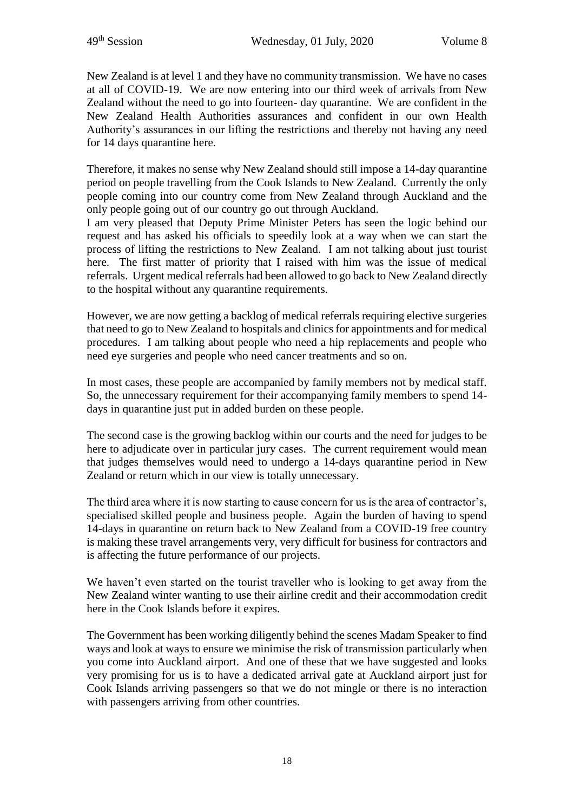New Zealand is at level 1 and they have no community transmission. We have no cases at all of COVID-19. We are now entering into our third week of arrivals from New Zealand without the need to go into fourteen- day quarantine. We are confident in the New Zealand Health Authorities assurances and confident in our own Health Authority's assurances in our lifting the restrictions and thereby not having any need for 14 days quarantine here.

Therefore, it makes no sense why New Zealand should still impose a 14-day quarantine period on people travelling from the Cook Islands to New Zealand. Currently the only people coming into our country come from New Zealand through Auckland and the only people going out of our country go out through Auckland.

I am very pleased that Deputy Prime Minister Peters has seen the logic behind our request and has asked his officials to speedily look at a way when we can start the process of lifting the restrictions to New Zealand. I am not talking about just tourist here. The first matter of priority that I raised with him was the issue of medical referrals. Urgent medical referrals had been allowed to go back to New Zealand directly to the hospital without any quarantine requirements.

However, we are now getting a backlog of medical referrals requiring elective surgeries that need to go to New Zealand to hospitals and clinics for appointments and for medical procedures. I am talking about people who need a hip replacements and people who need eye surgeries and people who need cancer treatments and so on.

In most cases, these people are accompanied by family members not by medical staff. So, the unnecessary requirement for their accompanying family members to spend 14 days in quarantine just put in added burden on these people.

The second case is the growing backlog within our courts and the need for judges to be here to adjudicate over in particular jury cases. The current requirement would mean that judges themselves would need to undergo a 14-days quarantine period in New Zealand or return which in our view is totally unnecessary.

The third area where it is now starting to cause concern for us is the area of contractor's, specialised skilled people and business people. Again the burden of having to spend 14-days in quarantine on return back to New Zealand from a COVID-19 free country is making these travel arrangements very, very difficult for business for contractors and is affecting the future performance of our projects.

We haven't even started on the tourist traveller who is looking to get away from the New Zealand winter wanting to use their airline credit and their accommodation credit here in the Cook Islands before it expires.

The Government has been working diligently behind the scenes Madam Speaker to find ways and look at ways to ensure we minimise the risk of transmission particularly when you come into Auckland airport. And one of these that we have suggested and looks very promising for us is to have a dedicated arrival gate at Auckland airport just for Cook Islands arriving passengers so that we do not mingle or there is no interaction with passengers arriving from other countries.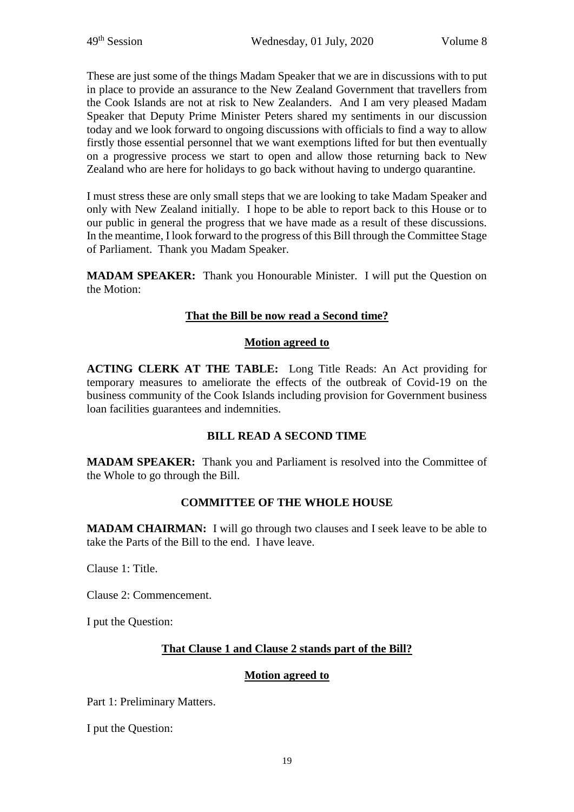These are just some of the things Madam Speaker that we are in discussions with to put in place to provide an assurance to the New Zealand Government that travellers from the Cook Islands are not at risk to New Zealanders. And I am very pleased Madam Speaker that Deputy Prime Minister Peters shared my sentiments in our discussion today and we look forward to ongoing discussions with officials to find a way to allow firstly those essential personnel that we want exemptions lifted for but then eventually on a progressive process we start to open and allow those returning back to New Zealand who are here for holidays to go back without having to undergo quarantine.

I must stress these are only small steps that we are looking to take Madam Speaker and only with New Zealand initially. I hope to be able to report back to this House or to our public in general the progress that we have made as a result of these discussions. In the meantime, I look forward to the progress of this Bill through the Committee Stage of Parliament. Thank you Madam Speaker.

**MADAM SPEAKER:** Thank you Honourable Minister. I will put the Question on the Motion:

# **That the Bill be now read a Second time?**

## **Motion agreed to**

**ACTING CLERK AT THE TABLE:** Long Title Reads: An Act providing for temporary measures to ameliorate the effects of the outbreak of Covid-19 on the business community of the Cook Islands including provision for Government business loan facilities guarantees and indemnities.

## **BILL READ A SECOND TIME**

**MADAM SPEAKER:** Thank you and Parliament is resolved into the Committee of the Whole to go through the Bill.

# **COMMITTEE OF THE WHOLE HOUSE**

**MADAM CHAIRMAN:** I will go through two clauses and I seek leave to be able to take the Parts of the Bill to the end. I have leave.

Clause 1: Title.

Clause 2: Commencement.

I put the Question:

## **That Clause 1 and Clause 2 stands part of the Bill?**

## **Motion agreed to**

Part 1: Preliminary Matters.

I put the Question: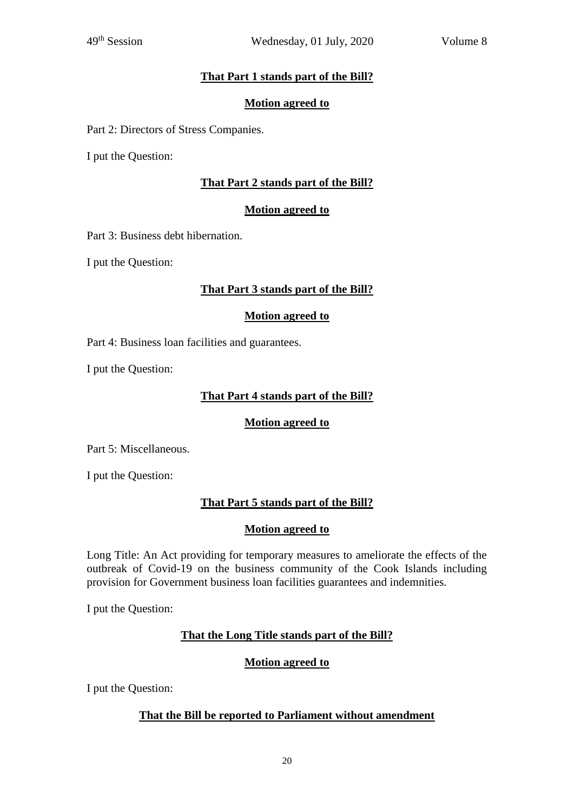# **That Part 1 stands part of the Bill?**

#### **Motion agreed to**

Part 2: Directors of Stress Companies.

I put the Question:

## **That Part 2 stands part of the Bill?**

# **Motion agreed to**

Part 3: Business debt hibernation.

I put the Question:

## **That Part 3 stands part of the Bill?**

#### **Motion agreed to**

Part 4: Business loan facilities and guarantees.

I put the Question:

#### **That Part 4 stands part of the Bill?**

## **Motion agreed to**

Part 5: Miscellaneous.

I put the Question:

## **That Part 5 stands part of the Bill?**

## **Motion agreed to**

Long Title: An Act providing for temporary measures to ameliorate the effects of the outbreak of Covid-19 on the business community of the Cook Islands including provision for Government business loan facilities guarantees and indemnities.

I put the Question:

## **That the Long Title stands part of the Bill?**

## **Motion agreed to**

I put the Question:

## **That the Bill be reported to Parliament without amendment**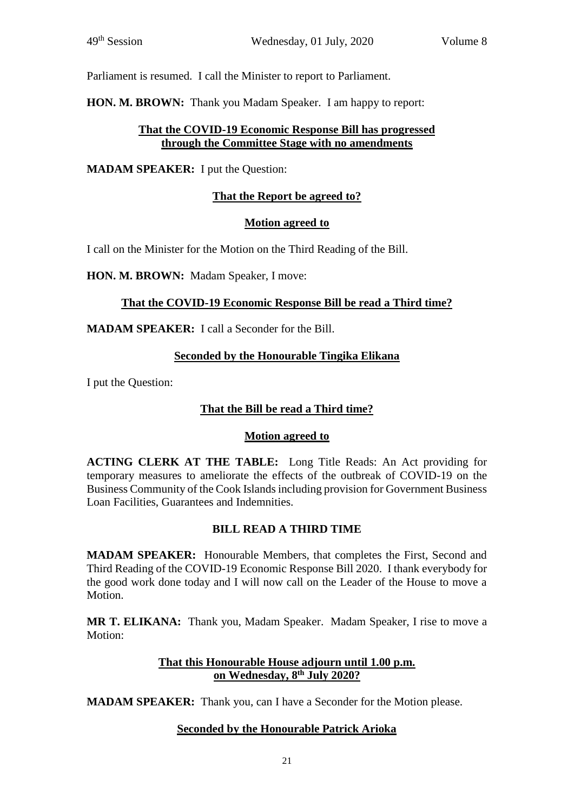Parliament is resumed. I call the Minister to report to Parliament.

**HON. M. BROWN:** Thank you Madam Speaker. I am happy to report:

## **That the COVID-19 Economic Response Bill has progressed through the Committee Stage with no amendments**

**MADAM SPEAKER:** I put the Question:

# **That the Report be agreed to?**

# **Motion agreed to**

I call on the Minister for the Motion on the Third Reading of the Bill.

**HON. M. BROWN:** Madam Speaker, I move:

# **That the COVID-19 Economic Response Bill be read a Third time?**

**MADAM SPEAKER:** I call a Seconder for the Bill.

# **Seconded by the Honourable Tingika Elikana**

I put the Question:

# **That the Bill be read a Third time?**

## **Motion agreed to**

**ACTING CLERK AT THE TABLE:** Long Title Reads: An Act providing for temporary measures to ameliorate the effects of the outbreak of COVID-19 on the Business Community of the Cook Islands including provision for Government Business Loan Facilities, Guarantees and Indemnities.

## **BILL READ A THIRD TIME**

**MADAM SPEAKER:** Honourable Members, that completes the First, Second and Third Reading of the COVID-19 Economic Response Bill 2020. I thank everybody for the good work done today and I will now call on the Leader of the House to move a Motion.

**MR T. ELIKANA:** Thank you, Madam Speaker. Madam Speaker, I rise to move a Motion:

# **That this Honourable House adjourn until 1.00 p.m. on Wednesday, 8 th July 2020?**

**MADAM SPEAKER:** Thank you, can I have a Seconder for the Motion please.

## **Seconded by the Honourable Patrick Arioka**